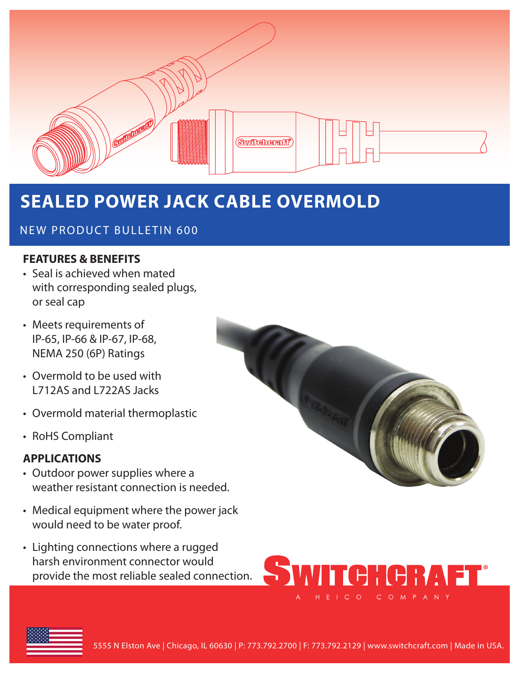

# **SEALED POWER JACK CABLE OVERMOLD**

### NEW PRODUCT BULLETIN 600

#### **FEATURES & BENEFITS**

- Seal is achieved when mated with corresponding sealed plugs, or seal cap
- Meets requirements of IP-65, IP-66 & IP-67, IP-68, NEMA 250 (6P) Ratings
- Overmold to be used with L712AS and L722AS Jacks
- Overmold material thermoplastic
- RoHS Compliant

#### **APPLICATIONS**

- Outdoor power supplies where a weather resistant connection is needed.
- Medical equipment where the power jack would need to be water proof.
- Lighting connections where a rugged harsh environment connector would provide the most reliable sealed connection.